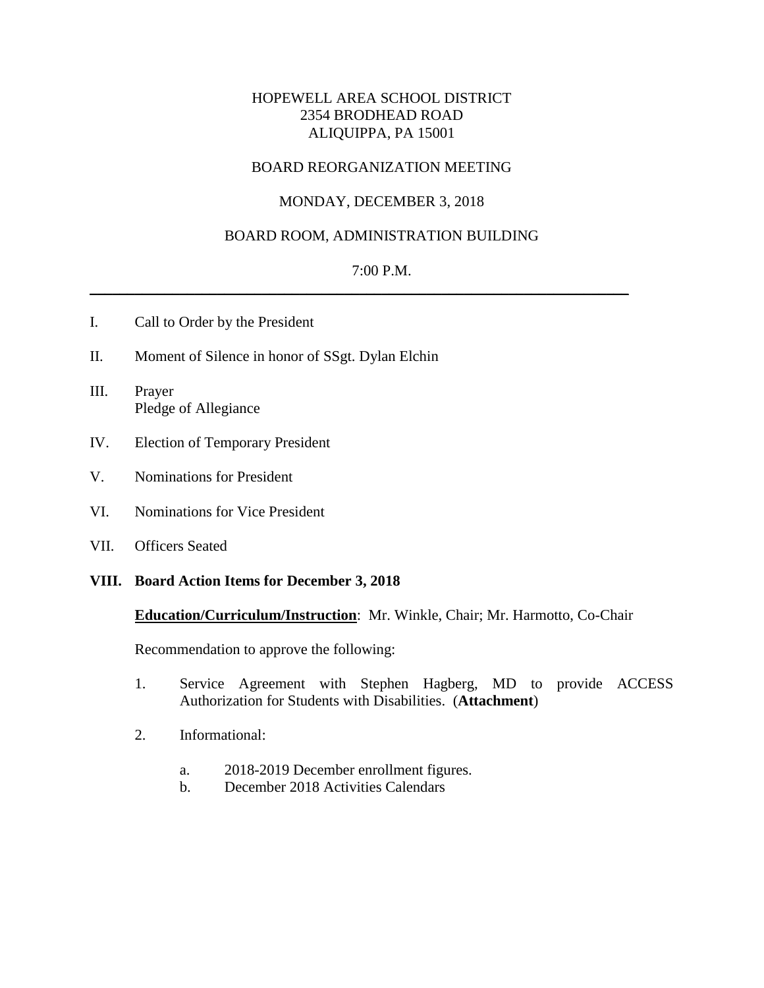# HOPEWELL AREA SCHOOL DISTRICT 2354 BRODHEAD ROAD ALIQUIPPA, PA 15001

# BOARD REORGANIZATION MEETING

# MONDAY, DECEMBER 3, 2018

## BOARD ROOM, ADMINISTRATION BUILDING

## 7:00 P.M.

 $\_$  , and the set of the set of the set of the set of the set of the set of the set of the set of the set of the set of the set of the set of the set of the set of the set of the set of the set of the set of the set of th

- I. Call to Order by the President
- II. Moment of Silence in honor of SSgt. Dylan Elchin
- III. Prayer Pledge of Allegiance
- IV. Election of Temporary President
- V. Nominations for President
- VI. Nominations for Vice President
- VII. Officers Seated

#### **VIII. Board Action Items for December 3, 2018**

#### **Education/Curriculum/Instruction**: Mr. Winkle, Chair; Mr. Harmotto, Co-Chair

Recommendation to approve the following:

- 1. Service Agreement with Stephen Hagberg, MD to provide ACCESS Authorization for Students with Disabilities. (**Attachment**)
- 2. Informational:
	- a. 2018-2019 December enrollment figures.
	- b. December 2018 Activities Calendars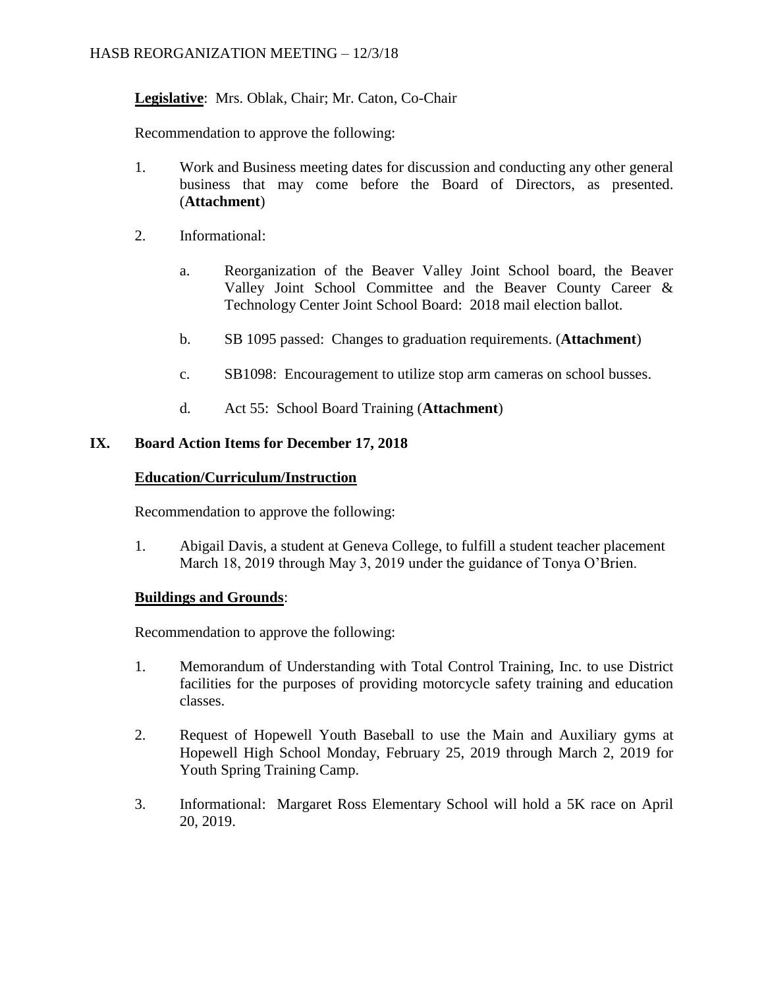# **Legislative**: Mrs. Oblak, Chair; Mr. Caton, Co-Chair

Recommendation to approve the following:

- 1. Work and Business meeting dates for discussion and conducting any other general business that may come before the Board of Directors, as presented. (**Attachment**)
- 2. Informational:
	- a. Reorganization of the Beaver Valley Joint School board, the Beaver Valley Joint School Committee and the Beaver County Career & Technology Center Joint School Board: 2018 mail election ballot.
	- b. SB 1095 passed: Changes to graduation requirements. (**Attachment**)
	- c. SB1098: Encouragement to utilize stop arm cameras on school busses.
	- d. Act 55: School Board Training (**Attachment**)

# **IX. Board Action Items for December 17, 2018**

## **Education/Curriculum/Instruction**

Recommendation to approve the following:

1. Abigail Davis, a student at Geneva College, to fulfill a student teacher placement March 18, 2019 through May 3, 2019 under the guidance of Tonya O'Brien.

## **Buildings and Grounds**:

Recommendation to approve the following:

- 1. Memorandum of Understanding with Total Control Training, Inc. to use District facilities for the purposes of providing motorcycle safety training and education classes.
- 2. Request of Hopewell Youth Baseball to use the Main and Auxiliary gyms at Hopewell High School Monday, February 25, 2019 through March 2, 2019 for Youth Spring Training Camp.
- 3. Informational: Margaret Ross Elementary School will hold a 5K race on April 20, 2019.